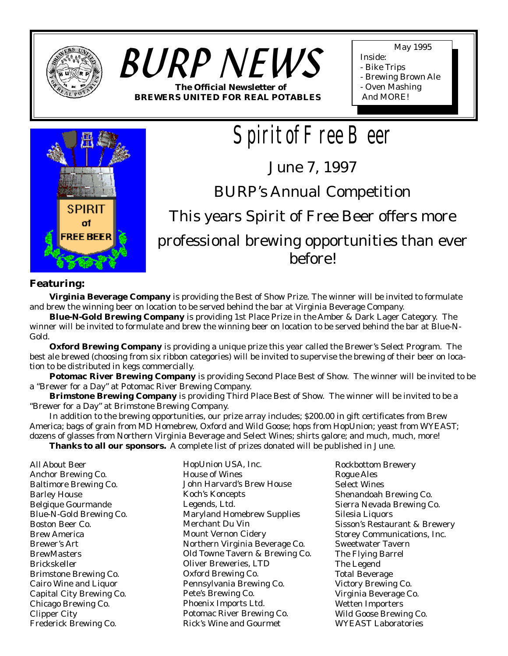

# *BURP NEWS* **The Official Newsletter of BREWERS UNITED FOR REAL POTABLES**

May 1995

- Inside:
- Bike Trips
- Brewing Brown Ale
- Oven Mashing
- And MORE!



*Spirit of Free Beer*

June 7, 1997

BURP's Annual Competition

This years Spirit of Free Beer offers more

# professional brewing opportunities than ever before!

## **Featuring:**

**Virginia Beverage Company** is providing the Best of Show Prize. The winner will be invited to formulate and brew the winning beer on location to be served behind the bar at Virginia Beverage Company.

**Blue-N-Gold Brewing Company** is providing 1st Place Prize in the Amber & Dark Lager Category. The winner will be invited to formulate and brew the winning beer on location to be served behind the bar at Blue-N-Gold.

**Oxford Brewing Company** is providing a unique prize this year called the Brewer's Select Program. The best ale brewed (choosing from six ribbon categories) will be invited to supervise the brewing of their beer on location to be distributed in kegs commercially.

**Potomac River Brewing Company** is providing Second Place Best of Show. The winner will be invited to be a "Brewer for a Day" at Potomac River Brewing Company.

**Brimstone Brewing Company** is providing Third Place Best of Show. The winner will be invited to be a "Brewer for a Day" at Brimstone Brewing Company.

In addition to the brewing opportunities, our prize array includes; \$200.00 in gift certificates from Brew America; bags of grain from MD Homebrew, Oxford and Wild Goose; hops from HopUnion; yeast from WYEAST; dozens of glasses from Northern Virginia Beverage and Select Wines; shirts galore; and much, much, more!

**Thanks to all our sponsors.** A complete list of prizes donated will be published in June.

All About Beer Anchor Brewing Co. Baltimore Brewing Co. Barley House Belgique Gourmande Blue-N-Gold Brewing Co. Boston Beer Co. Brew America Brewer's Art **BrewMasters** Brickskeller Brimstone Brewing Co. Cairo Wine and Liquor Capital City Brewing Co. Chicago Brewing Co. Clipper City Frederick Brewing Co.

HopUnion USA, Inc. House of Wines John Harvard's Brew House Koch's Koncepts Legends, Ltd. Maryland Homebrew Supplies Merchant Du Vin Mount Vernon Cidery Northern Virginia Beverage Co. Old Towne Tavern & Brewing Co. Oliver Breweries, LTD Oxford Brewing Co. Pennsylvania Brewing Co. Pete's Brewing Co. Phoenix Imports Ltd. Potomac River Brewing Co. Rick's Wine and Gourmet

Rockbottom Brewery Rogue Ales Select Wines Shenandoah Brewing Co. Sierra Nevada Brewing Co. Silesia Liquors Sisson's Restaurant & Brewery Storey Communications, Inc. Sweetwater Tavern The Flying Barrel The Legend Total Beverage Victory Brewing Co. Virginia Beverage Co. Wetten Importers Wild Goose Brewing Co. WYEAST Laboratories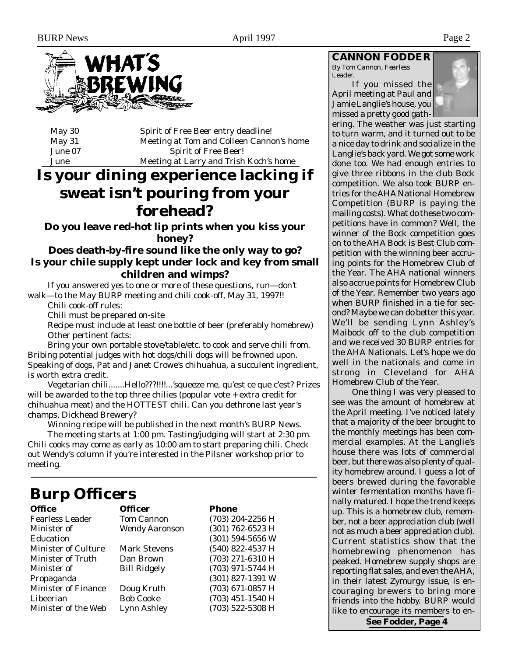

| May $30$ | Spirit of Free Beer entry deadline!      |
|----------|------------------------------------------|
| May 31   | Meeting at Tom and Colleen Cannon's home |
| June 07  | <b>Spirit of Free Beer!</b>              |
| June     | Meeting at Larry and Trish Koch's home   |

# **Is your dining experience lacking if sweat isn't pouring from your forehead?**

# **Do you leave red-hot lip prints when you kiss your honey?**

# **Does death-by-fire sound like the only way to go? Is your chile supply kept under lock and key from small children and wimps?**

If you answered yes to one or more of these questions, run—don't walk—to the May BURP meeting and chili cook-off, May 31, 1997!!

Chili cook-off rules:

Chili must be prepared on-site

Recipe must include at least one bottle of beer (preferably homebrew) Other pertinent facts:

Bring your own portable stove/table/etc. to cook and serve chili from. Bribing potential judges with hot dogs/chili dogs will be frowned upon. Speaking of dogs, Pat and Janet Crowe's chihuahua, a succulent ingredient, is worth extra credit.

Vegetarian chili.......Hello???!!!!...'squeeze me, qu'est ce que c'est? Prizes will be awarded to the top three chilies (popular vote + extra credit for chihuahua meat) and the HOTTEST chili. Can you dethrone last year's champs, Dickhead Brewery?

Winning recipe will be published in the next month's BURP News. The meeting starts at 1:00 pm. Tasting/judging will start at 2:30 pm. Chili cooks may come as early as 10:00 am to start preparing chili. Check out Wendy's column if you're interested in the Pilsner workshop prior to meeting.

# **Burp Officers Officer** Phone

| <b>Fearless Leader</b>     | <b>Tom Cannon</b>     | (703) 204-2256 H |
|----------------------------|-----------------------|------------------|
| Minister of                | <b>Wendy Aaronson</b> | (301) 762-6523 H |
| <b>Education</b>           |                       | (301) 594-5656 W |
| <b>Minister of Culture</b> | <b>Mark Stevens</b>   | (540) 822-4537 H |
| <b>Minister of Truth</b>   | Dan Brown             | (703) 271-6310 H |
| Minister of                | <b>Bill Ridgely</b>   | (703) 971-5744 H |
| Propaganda                 |                       | (301) 827-1391 W |
| <b>Minister of Finance</b> | Doug Kruth            | (703) 671-0857 H |
| Libeerian                  | <b>Bob Cooke</b>      | (703) 451-1540 H |
| Minister of the Web        | <b>Lynn Ashley</b>    | (703) 522-5308 H |

## **CANNON FODDER**

*By Tom Cannon, Fearless Leader.*

If you missed the April meeting at Paul and Jamie Langlie's house, you missed a pretty good gath-



ering. The weather was just starting to turn warm, and it turned out to be a nice day to drink and socialize in the Langlie's back yard. We got some work done too. We had enough entries to give three ribbons in the club Bock competition. We also took BURP entries for the AHA National Homebrew Competition (BURP is paying the mailing costs). What do these two competitions have in common? Well, the winner of the Bock competition goes on to the AHA Bock is Best Club competition with the winning beer accruing points for the Homebrew Club of the Year. The AHA national winners also accrue points for Homebrew Club of the Year. Remember two years ago when BURP finished in a tie for second? Maybe we can do better this year. We'll be sending Lynn Ashley's Maibock off to the club competition and we received 30 BURP entries for the AHA Nationals. Let's hope we do well in the nationals and come in strong in Cleveland for AHA Homebrew Club of the Year.

One thing I was very pleased to see was the amount of homebrew at the April meeting. I've noticed lately that a majority of the beer brought to the monthly meetings has been commercial examples. At the Langlie's house there was lots of commercial beer, but there was also plenty of quality homebrew around. I guess a lot of beers brewed during the favorable winter fermentation months have finally matured. I hope the trend keeps up. This is a homebrew club, remember, not a beer appreciation club (well not as much a beer appreciation club). Current statistics show that the homebrewing phenomenon has peaked. Homebrew supply shops are reporting flat sales, and even the AHA, in their latest Zymurgy issue, is encouraging brewers to bring more friends into the hobby. BURP would like to encourage its members to en-

**See Fodder, Page 4**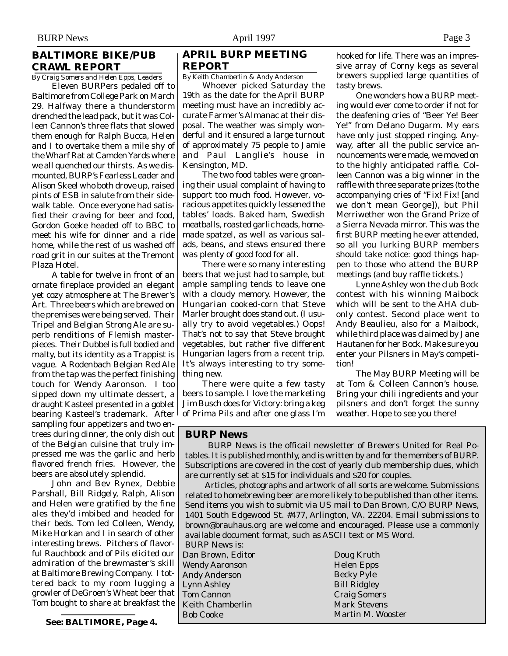## **BALTIMORE BIKE/PUB CRAWL REPORT**

*By Craig Somers and Helen Epps, Leaders*

Eleven BURPers pedaled off to Baltimore from College Park on March 29. Halfway there a thunderstorm drenched the lead pack, but it was Colleen Cannon's three flats that slowed them enough for Ralph Bucca, Helen and I to overtake them a mile shy of the Wharf Rat at Camden Yards where we all quenched our thirsts. As we dismounted, BURP's Fearless Leader and Alison Skeel who both drove up, raised pints of ESB in salute from their sidewalk table. Once everyone had satisfied their craving for beer and food, Gordon Goeke headed off to BBC to meet his wife for dinner and a ride home, while the rest of us washed off road grit in our suites at the Tremont Plaza Hotel.

A table for twelve in front of an ornate fireplace provided an elegant yet cozy atmosphere at The Brewer's Art. Three beers which are brewed on the premises were being served. Their Tripel and Belgian Strong Ale are superb renditions of Flemish masterpieces. Their Dubbel is full bodied and malty, but its identity as a Trappist is vague. A Rodenbach Belgian Red Ale from the tap was the perfect finishing touch for Wendy Aaronson. I too sipped down my ultimate dessert, a draught Kasteel presented in a goblet bearing Kasteel's trademark. After sampling four appetizers and two entrees during dinner, the only dish out of the Belgian cuisine that truly impressed me was the garlic and herb flavored french fries. However, the beers are absolutely splendid.

John and Bev Rynex, Debbie Parshall, Bill Ridgely, Ralph, Alison and Helen were gratified by the fine ales they'd imbibed and headed for their beds. Tom led Colleen, Wendy, Mike Horkan and I in search of other interesting brews. Pitchers of flavorful Rauchbock and of Pils elicited our admiration of the brewmaster's skill at Baltimore Brewing Company. I tottered back to my room lugging a growler of DeGroen's Wheat beer that Tom bought to share at breakfast the

**See: BALTIMORE, Page 4.**

## **APRIL BURP MEETING REPORT**

*By Keith Chamberlin & Andy Anderson*

Whoever picked Saturday the 19th as the date for the April BURP meeting must have an incredibly accurate Farmer's Almanac at their disposal. The weather was simply wonderful and it ensured a large turnout of approximately 75 people to Jamie and Paul Langlie's house in Kensington, MD.

The two food tables were groaning their usual complaint of having to support too much food. However, voracious appetites quickly lessened the tables' loads. Baked ham, Swedish meatballs, roasted garlic heads, homemade spatzel, as well as various salads, beans, and stews ensured there was plenty of good food for all.

There were so many interesting beers that we just had to sample, but ample sampling tends to leave one with a cloudy memory. However, the Hungarian cooked-corn that Steve Marler brought does stand out. (I usually try to avoid vegetables.) Oops! That's not to say that Steve brought vegetables, but rather five different Hungarian lagers from a recent trip. It's always interesting to try something new.

There were quite a few tasty beers to sample. I love the marketing Jim Busch does for Victory: bring a keg of Prima Pils and after one glass I'm

hooked for life. There was an impressive array of Corny kegs as several brewers supplied large quantities of tasty brews.

One wonders how a BURP meeting would ever come to order if not for the deafening cries of "Beer Ye! Beer Ye!" from Delano Dugarm. My ears have only just stopped ringing. Anyway, after all the public service announcements were made, we moved on to the highly anticipated raffle. Colleen Cannon was a big winner in the raffle with three separate prizes (to the accompanying cries of "Fix! Fix! [and we don't mean George]), but Phil Merriwether won the Grand Prize of a Sierra Nevada mirror. This was the first BURP meeting he ever attended, so all you lurking BURP members should take notice: good things happen to those who attend the BURP meetings (and buy raffle tickets.)

Lynne Ashley won the club Bock contest with his winning Maibock which will be sent to the AHA clubonly contest. Second place went to Andy Beaulieu, also for a Maibock, while third place was claimed by Jane Hautanen for her Bock. Make sure you enter your Pilsners in May's competition!

The May BURP Meeting will be at Tom & Colleen Cannon's house. Bring your chili ingredients and your pilsners and don't forget the sunny weather. Hope to see you there!

### **BURP News**

 BURP News is the officail newsletter of Brewers United for Real Potables. It is published monthly, and is written by and for the members of BURP. Subscriptions are covered in the cost of yearly club membership dues, which are currently set at \$15 for individuals and \$20 for couples.

Articles, photographs and artwork of all sorts are welcome. Submissions related to homebrewing beer are more likely to be published than other items. Send items you wish to submit via US mail to Dan Brown, C/O BURP News, 1401 South Edgewood St. #477, Arlington, VA. 22204. Email submissions to brown@brauhaus.org are welcome and encouraged. Please use a commonly available document format, such as ASCII text or MS Word.

BURP News is: Dan Brown, Editor Wendy Aaronson Andy Anderson Lynn Ashley Tom Cannon Keith Chamberlin Bob Cooke

Doug Kruth Helen Epps Becky Pyle Bill Ridgley Craig Somers Mark Stevens Martin M. Wooster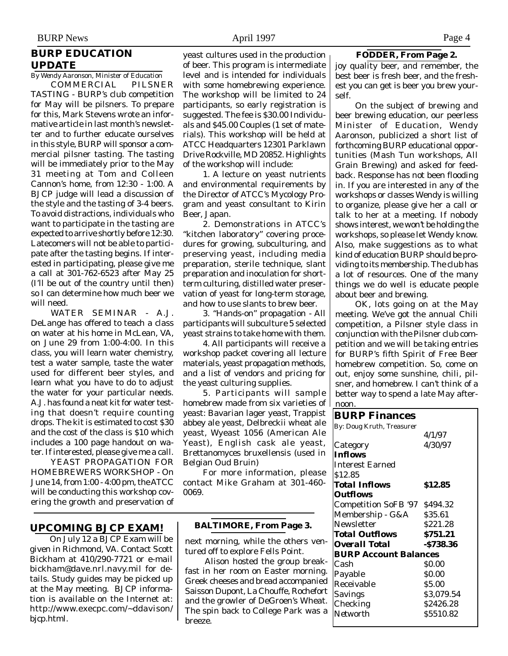# **BURP EDUCATION UPDATE**

*By Wendy Aaronson, Minister of Education* COMMERCIAL PILSNER TASTING - BURP's club competition for May will be pilsners. To prepare for this, Mark Stevens wrote an informative article in last month's newsletter and to further educate ourselves in this style, BURP will sponsor a commercial pilsner tasting. The tasting will be immediately prior to the May 31 meeting at Tom and Colleen Cannon's home, from 12:30 - 1:00. A BJCP judge will lead a discussion of the style and the tasting of 3-4 beers. To avoid distractions, individuals who want to participate in the tasting are expected to arrive shortly before 12:30. Latecomers will not be able to participate after the tasting begins. If interested in participating, please give me a call at 301-762-6523 after May 25 (I'll be out of the country until then) so I can determine how much beer we will need.

WATER SEMINAR - A.J. DeLange has offered to teach a class on water at his home in McLean, VA, on June 29 from 1:00-4:00. In this class, you will learn water chemistry, test a water sample, taste the water used for different beer styles, and learn what you have to do to adjust the water for your particular needs. A.J. has found a neat kit for water testing that doesn't require counting drops. The kit is estimated to cost \$30 and the cost of the class is \$10 which includes a 100 page handout on water. If interested, please give me a call.

YEAST PROPAGATION FOR HOMEBREWERS WORKSHOP - On June 14, from 1:00 - 4:00 pm, the ATCC will be conducting this workshop covering the growth and preservation of

## **UPCOMING BJCP EXAM!**

On July 12 a BJCP Exam will be given in Richmond, VA. Contact Scott Bickham at 410/290-7721 or e-mail bickham@dave.nrl.navy.mil for details. Study guides may be picked up at the May meeting. BJCP information is available on the Internet at: http://www.execpc.com/~ddavison/ bjcp.html.

yeast cultures used in the production of beer. This program is intermediate level and is intended for individuals with some homebrewing experience. The workshop will be limited to 24 participants, so early registration is suggested. The fee is \$30.00 Individuals and \$45.00 Couples (1 set of materials). This workshop will be held at ATCC Headquarters 12301 Parklawn Drive Rockville, MD 20852. Highlights of the workshop will include:

1. A lecture on yeast nutrients and environmental requirements by the Director of ATCC's Mycology Program and yeast consultant to Kirin Beer, Japan.

2. Demonstrations in ATCC's "kitchen laboratory" covering procedures for growing, subculturing, and preserving yeast, including media preparation, sterile technique, slant preparation and inoculation for shortterm culturing, distilled water preservation of yeast for long-term storage, and how to use slants to brew beer.

3. "Hands-on" propagation - All participants will subculture 5 selected yeast strains to take home with them.

4. All participants will receive a workshop packet covering all lecture materials, yeast propagation methods, and a list of vendors and pricing for the yeast culturing supplies.

5. Participants will sample homebrew made from six varieties of yeast: Bavarian lager yeast, Trappist abbey ale yeast, Delbreckii wheat ale yeast, Wyeast 1056 (American Ale Yeast), English cask ale yeast, Brettanomyces bruxellensis (used in Belgian Oud Bruin)

For more information, please contact Mike Graham at 301-460- 0069.

#### **BALTIMORE, From Page 3.**

next morning, while the others ventured off to explore Fells Point.

Alison hosted the group breakfast in her room on Easter morning. Greek cheeses and bread accompanied Saisson Dupont, La Chouffe, Rochefort and the growler of DeGroen's Wheat. The spin back to College Park was a breeze.

### **FODDER, From Page 2.**

joy quality beer, and remember, the best beer is fresh beer, and the freshest you can get is beer you brew yourself.

On the subject of brewing and beer brewing education, our peerless Minister of Education, Wendy Aaronson, publicized a short list of forthcoming BURP educational opportunities (Mash Tun workshops, All Grain Brewing) and asked for feedback. Response has not been flooding in. If you are interested in any of the workshops or classes Wendy is willing to organize, please give her a call or talk to her at a meeting. If nobody shows interest, we won't be holding the workshops, so please let Wendy know. Also, make suggestions as to what kind of education BURP should be providing to its membership. The club has a lot of resources. One of the many things we do well is educate people about beer and brewing.

OK, lots going on at the May meeting. We've got the annual Chili competition, a Pilsner style class in conjunction with the Pilsner club competition and we will be taking entries for BURP's fifth Spirit of Free Beer homebrew competition. So, come on out, enjoy some sunshine, chili, pilsner, and homebrew. I can't think of a better way to spend a late May afternoon.

### **BURP Finances** By: Doug Kruth, Treasurer 4/1/97 Category 4/30/97 *Inflows* Interest Earned \$12.85 *Total Inflows* **\$12.85** *Outflows* Competition SoFB '97 \$494.32

| Membership - G&A             | \$35.61      |  |  |  |
|------------------------------|--------------|--|--|--|
| Newsletter                   | \$221.28     |  |  |  |
| <b>Total Outflows</b>        | \$751.21     |  |  |  |
| <b>Overall Total</b>         | $-$ \$738.36 |  |  |  |
| <b>BURP Account Balances</b> |              |  |  |  |
| Cash                         | <b>SO.00</b> |  |  |  |
| Payable                      | \$0.00       |  |  |  |
| Receivable                   | \$5.00       |  |  |  |
| Savings                      | \$3,079.54   |  |  |  |
| Checking                     | \$2426.28    |  |  |  |
| Networth                     | \$5510.82    |  |  |  |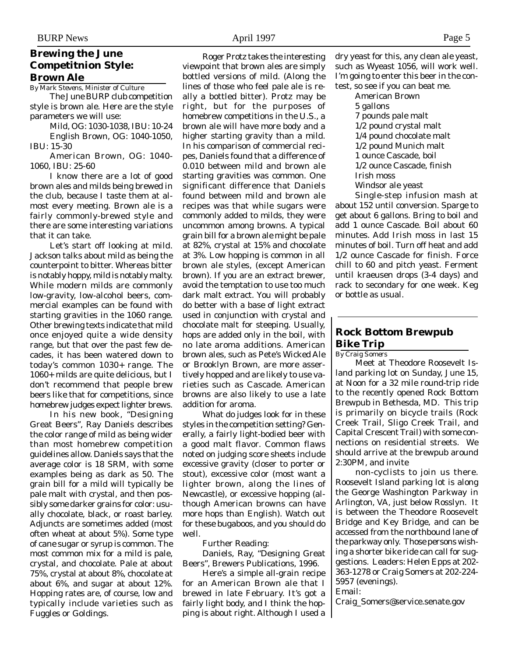## **Brewing the June Competitnion Style: Brown Ale**

*By Mark Stevens, Minister of Culture*

The June BURP club competition style is brown ale. Here are the style parameters we will use:

Mild, OG: 1030-1038, IBU: 10-24 English Brown, OG: 1040-1050, IBU: 15-30

American Brown, OG: 1040- 1060, IBU: 25-60

I know there are a lot of good brown ales and milds being brewed in the club, because I taste them at almost every meeting. Brown ale is a fairly commonly-brewed style and there are some interesting variations that it can take.

Let's start off looking at mild. Jackson talks about mild as being the counterpoint to bitter. Whereas bitter is notably hoppy, mild is notably malty. While modern milds are commonly low-gravity, low-alcohol beers, commercial examples can be found with starting gravities in the 1060 range. Other brewing texts indicate that mild once enjoyed quite a wide density range, but that over the past few decades, it has been watered down to today's common 1030+ range. The 1060+ milds are quite delicious, but I don't recommend that people brew beers like that for competitions, since homebrew judges expect lighter brews.

In his new book, "Designing Great Beers", Ray Daniels describes the color range of mild as being wider than most homebrew competition guidelines allow. Daniels says that the average color is 18 SRM, with some examples being as dark as 50. The grain bill for a mild will typically be pale malt with crystal, and then possibly some darker grains for color: usually chocolate, black, or roast barley. Adjuncts are sometimes added (most often wheat at about 5%). Some type of cane sugar or syrup is common. The most common mix for a mild is pale, crystal, and chocolate. Pale at about 75%, crystal at about 8%, chocolate at about 6%, and sugar at about 12%. Hopping rates are, of course, low and typically include varieties such as Fuggles or Goldings.

Roger Protz takes the interesting viewpoint that brown ales are simply bottled versions of mild. (Along the lines of those who feel pale ale is really a bottled bitter). Protz may be right, but for the purposes of homebrew competitions in the U.S., a brown ale will have more body and a higher starting gravity than a mild. In his comparison of commercial recipes, Daniels found that a difference of 0.010 between mild and brown ale starting gravities was common. One significant difference that Daniels found between mild and brown ale recipes was that while sugars were commonly added to milds, they were uncommon among browns. A typical grain bill for a brown ale might be pale at 82%, crystal at 15% and chocolate at 3%. Low hopping is common in all brown ale styles, (except American brown). If you are an extract brewer, avoid the temptation to use too much dark malt extract. You will probably do better with a base of light extract used in conjunction with crystal and chocolate malt for steeping. Usually, hops are added only in the boil, with no late aroma additions. American brown ales, such as Pete's Wicked Ale or Brooklyn Brown, are more assertively hopped and are likely to use varieties such as Cascade. American browns are also likely to use a late addition for aroma.

What do judges look for in these styles in the competition setting? Generally, a fairly light-bodied beer with a good malt flavor. Common flaws noted on judging score sheets include excessive gravity (closer to porter or stout), excessive color (most want a lighter brown, along the lines of Newcastle), or excessive hopping (although American browns can have more hops than English). Watch out for these bugaboos, and you should do well.

Further Reading:

Daniels, Ray, "Designing Great Beers", Brewers Publications, 1996.

Here's a simple all-grain recipe for an American Brown ale that I brewed in late February. It's got a fairly light body, and I think the hopping is about right. Although I used a dry yeast for this, any clean ale yeast, such as Wyeast 1056, will work well. I'm going to enter this beer in the contest, so see if you can beat me.

American Brown 5 gallons 7 pounds pale malt 1/2 pound crystal malt 1/4 pound chocolate malt 1/2 pound Munich malt 1 ounce Cascade, boil 1/2 ounce Cascade, finish Irish moss Windsor ale yeast Single-step infusion mash at

about 152 until conversion. Sparge to get about 6 gallons. Bring to boil and add 1 ounce Cascade. Boil about 60 minutes. Add Irish moss in last 15 minutes of boil. Turn off heat and add 1/2 ounce Cascade for finish. Force chill to 60 and pitch yeast. Ferment until kraeusen drops (3-4 days) and rack to secondary for one week. Keg or bottle as usual.

# **Rock Bottom Brewpub Bike Trip**

*By Craig Somers*

Meet at Theodore Roosevelt Island parking lot on Sunday, June 15, at Noon for a 32 mile round-trip ride to the recently opened Rock Bottom Brewpub in Bethesda, MD. This trip is primarily on bicycle trails (Rock Creek Trail, Sligo Creek Trail, and Capital Crescent Trail) with some connections on residential streets. We should arrive at the brewpub around 2:30PM, and invite

non-cyclists to join us there. Roosevelt Island parking lot is along the George Washington Parkway in Arlington, VA, just below Rosslyn. It is between the Theodore Roosevelt Bridge and Key Bridge, and can be accessed from the northbound lane of the parkway only. Those persons wishing a shorter bike ride can call for suggestions. Leaders: Helen Epps at 202- 363-1278 or Craig Somers at 202-224- 5957 (evenings).

Email:

Craig\_Somers@service.senate.gov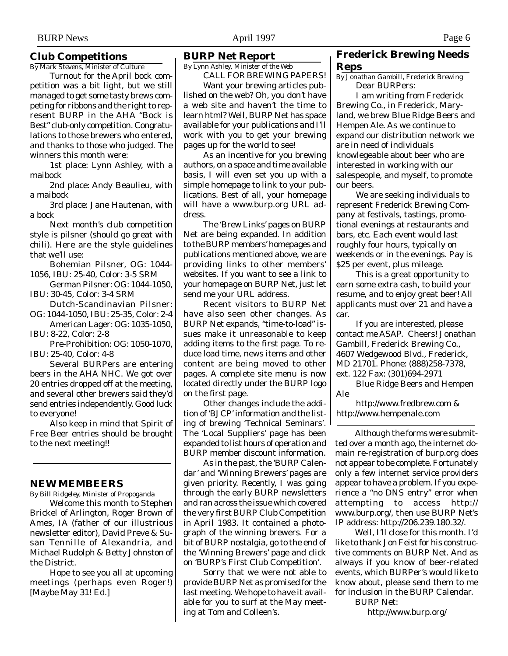## **Club Competitions**

*By Mark Stevens, Minister of Culture*

Turnout for the April bock competition was a bit light, but we still managed to get some tasty brews competing for ribbons and the right to represent BURP in the AHA "Bock is Best" club-only competition. Congratulations to those brewers who entered, and thanks to those who judged. The winners this month were:

1st place: Lynn Ashley, with a maibock

2nd place: Andy Beaulieu, with a maibock

3rd place: Jane Hautenan, with a bock

Next month's club competition style is pilsner (should go great with chili). Here are the style guidelines that we'll use:

Bohemian Pilsner, OG: 1044- 1056, IBU: 25-40, Color: 3-5 SRM

German Pilsner: OG: 1044-1050, IBU: 30-45, Color: 3-4 SRM

Dutch-Scandinavian Pilsner:

OG: 1044-1050, IBU: 25-35, Color: 2-4 American Lager: OG: 1035-1050, IBU: 8-22, Color: 2-8

Pre-Prohibition: OG: 1050-1070, IBU: 25-40, Color: 4-8

Several BURPers are entering beers in the AHA NHC. We got over 20 entries dropped off at the meeting, and several other brewers said they'd send entries independently. Good luck to everyone!

Also keep in mind that Spirit of Free Beer entries should be brought to the next meeting!!

### **NEW MEMBEERS**

*By Bill Ridgeley, Minister of Propoganda*

Welcome this month to Stephen Brickel of Arlington, Roger Brown of Ames, IA (father of our illustrious newsletter editor), David Preve & Susan Tennille of Alexandria, and Michael Rudolph & Betty Johnston of the District.

Hope to see you all at upcoming meetings (perhaps even Roger!) [Maybe May 31! Ed.]

#### **BURP Net Report**

*By Lynn Ashley, Minister of the Web*

CALL FOR BREWING PAPERS! Want your brewing articles published on the web? Oh, you don't have a web site and haven't the time to learn html? Well, BURP Net has space available for your publications and I'll work with you to get your brewing pages up for the world to see!

As an incentive for you brewing authors, on a space and time available basis, I will even set you up with a simple homepage to link to your publications. Best of all, your homepage will have a www.burp.org URL address.

The 'Brew Links' pages on BURP Net are being expanded. In addition to the BURP members' homepages and publications mentioned above, we are providing links to other members' websites. If you want to see a link to your homepage on BURP Net, just let send me your URL address.

Recent visitors to BURP Net have also seen other changes. As BURP Net expands, "time-to-load" issues make it unreasonable to keep adding items to the first page. To reduce load time, news items and other content are being moved to other pages. A complete site menu is now located directly under the BURP logo on the first page.

Other changes include the addition of 'BJCP' information and the listing of brewing 'Technical Seminars'. The 'Local Suppliers' page has been expanded to list hours of operation and BURP member discount information.

As in the past, the 'BURP Calendar' and 'Winning Brewers' pages are given priority. Recently, I was going through the early BURP newsletters and ran across the issue which covered the very first BURP Club Competition in April 1983. It contained a photograph of the winning brewers. For a bit of BURP nostalgia, go to the end of the 'Winning Brewers' page and click on 'BURP's First Club Competition'.

Sorry that we were not able to provide BURP Net as promised for the last meeting. We hope to have it available for you to surf at the May meeting at Tom and Colleen's.

## **Frederick Brewing Needs Reps**

*By Jonathan Gambill, Frederick Brewing* Dear BURPers:

I am writing from Frederick Brewing Co., in Frederick, Maryland, we brew Blue Ridge Beers and Hempen Ale. As we continue to expand our distribution network we are in need of individuals knowlegeable about beer who are interested in working with our salespeople, and myself, to promote our beers.

We are seeking individuals to represent Frederick Brewing Company at festivals, tastings, promotional evenings at restaurants and bars, etc. Each event would last roughly four hours, typically on weekends or in the evenings. Pay is \$25 per event, plus mileage.

This is a great opportunity to earn some extra cash, to build your resume, and to enjoy great beer! All applicants must over 21 and have a car.

If you are interested, please contact me ASAP. Cheers! Jonathan Gambill, Frederick Brewing Co., 4607 Wedgewood Blvd., Frederick, MD 21701. Phone: (888)258-7378, ext. 122 Fax: (301)694-2971

Blue Ridge Beers and Hempen Ale

http://www.fredbrew.com & http://www.hempenale.com

Although the forms were submitted over a month ago, the internet domain re-registration of burp.org does not appear to be complete. Fortunately only a few internet service providers appear to have a problem. If you experience a "no DNS entry" error when attempting to access http:// www.burp.org/, then use BURP Net's IP address: http://206.239.180.32/.

Well, I'll close for this month. I'd like to thank Jon Feist for his constructive comments on BURP Net. And as always if you know of beer-related events, which BURPer's would like to know about, please send them to me for inclusion in the BURP Calendar.

BURP Net:

http://www.burp.org/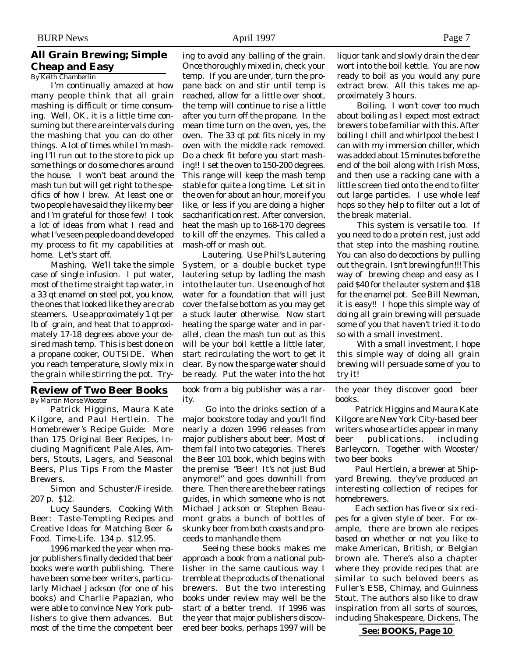## **All Grain Brewing; Simple Cheap and Easy**

*By Keith Chamberlin*

I'm continually amazed at how many people think that all grain mashing is difficult or time consuming. Well, OK, it is a little time consuming but there are intervals during the mashing that you can do other things. A lot of times while I'm mashing I'll run out to the store to pick up some things or do some chores around the house. I won't beat around the mash tun but will get right to the specifics of how I brew. At least one or two people have said they like my beer and I'm grateful for those few! I took a lot of ideas from what I read and what I've seen people do and developed my process to fit my capabilities at home. Let's start off.

Mashing. We'll take the simple case of single infusion. I put water, most of the time straight tap water, in a 33 qt enamel on steel pot, you know, the ones that looked like they are crab steamers. Use approximately 1 qt per lb of grain, and heat that to approximately 17-18 degrees above your desired mash temp. This is best done on a propane cooker, OUTSIDE. When you reach temperature, slowly mix in the grain while stirring the pot. Try-

## **Review of Two Beer Books**

*By Martin Morse Wooster*

Patrick Higgins, Maura Kate Kilgore, and Paul Hertlein. The Homebrewer's Recipe Guide: More than 175 Original Beer Recipes, Including Magnificent Pale Ales, Ambers, Stouts, Lagers, and Seasonal Beers, Plus Tips From the Master Brewers.

Simon and Schuster/Fireside. 207 p. \$12.

Lucy Saunders. Cooking With Beer: Taste-Tempting Recipes and Creative Ideas for Matching Beer & Food. Time-Life. 134 p. \$12.95.

1996 marked the year when major publishers finally decided that beer books were worth publishing. There have been some beer writers, particularly Michael Jackson (for one of his books) and Charlie Papazian, who were able to convince New York publishers to give them advances. But most of the time the competent beer

ing to avoid any balling of the grain. Once thoroughly mixed in, check your temp. If you are under, turn the propane back on and stir until temp is reached, allow for a little over shoot, the temp will continue to rise a little after you turn off the propane. In the mean time turn on the oven, yes, the oven. The 33 qt pot fits nicely in my oven with the middle rack removed. Do a check fit before you start mashing!! I set the oven to 150-200 degrees. This range will keep the mash temp stable for quite a long time. Let sit in the oven for about an hour, more if you like, or less if you are doing a higher saccharification rest. After conversion, heat the mash up to 168-170 degrees to kill off the enzymes. This called a mash-off or mash out.

Lautering. Use Phil's Lautering System, or a double bucket type lautering setup by ladling the mash into the lauter tun. Use enough of hot water for a foundation that will just cover the false bottom as you may get a stuck lauter otherwise. Now start heating the sparge water and in parallel, clean the mash tun out as this will be your boil kettle a little later, start recirculating the wort to get it clear. By now the sparge water should be ready. Put the water into the hot

book from a big publisher was a rarity.

 Go into the drinks section of a major bookstore today and you'll find nearly a dozen 1996 releases from major publishers about beer. Most of them fall into two categories. There's the Beer 101 book, which begins with the premise "Beer! It's not just Bud anymore!" and goes downhill from there. Then there are the beer ratings guides, in which someone who is not Michael Jackson or Stephen Beaumont grabs a bunch of bottles of skunky beer from both coasts and proceeds to manhandle them

Seeing these books makes me approach a book from a national publisher in the same cautious way I tremble at the products of the national brewers. But the two interesting books under review may well be the start of a better trend. If 1996 was the year that major publishers discovered beer books, perhaps 1997 will be

liquor tank and slowly drain the clear wort into the boil kettle. You are now ready to boil as you would any pure extract brew. All this takes me approximately 3 hours.

Boiling. I won't cover too much about boiling as I expect most extract brewers to be familiar with this. After boiling I chill and whirlpool the best I can with my immersion chiller, which was added about 15 minutes before the end of the boil along with Irish Moss, and then use a racking cane with a little screen tied onto the end to filter out large particles. I use whole leaf hops so they help to filter out a lot of the break material.

This system is versatile too. If you need to do a protein rest, just add that step into the mashing routine. You can also do decoctions by pulling out the grain. Isn't brewing fun!!! This way of brewing cheap and easy as I paid \$40 for the lauter system and \$18 for the enamel pot. See Bill Newman, it is easy!! I hope this simple way of doing all grain brewing will persuade some of you that haven't tried it to do so with a small investment.

With a small investment, I hope this simple way of doing all grain brewing will persuade some of you to try it!

the year they discover good beer books.

Patrick Higgins and Maura Kate Kilgore are New York City-based beer writers whose articles appear in many beer publications, including Barleycorn. Together with Wooster/ two beer books

Paul Hertlein, a brewer at Shipyard Brewing, they've produced an interesting collection of recipes for homebrewers.

Each section has five or six recipes for a given style of beer. For example, there are brown ale recipes based on whether or not you like to make American, British, or Belgian brown ale. There's also a chapter where they provide recipes that are similar to such beloved beers as Fuller's ESB, Chimay, and Guinness Stout. The authors also like to draw inspiration from all sorts of sources, including Shakespeare, Dickens, The

**See: BOOKS, Page 10**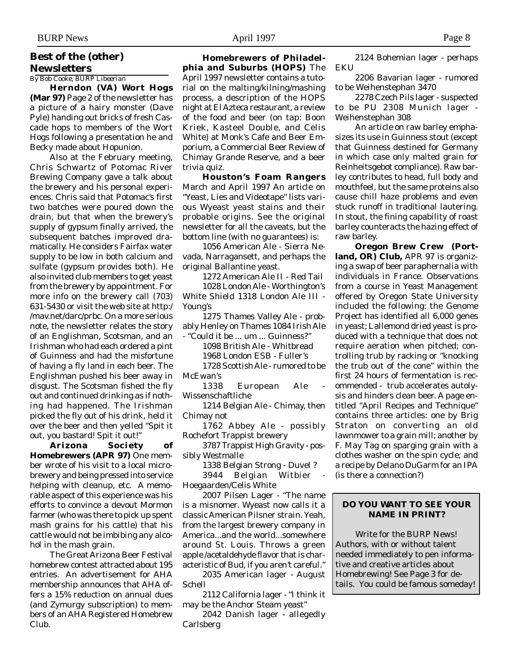# **Best of the (other) Newsletters**

*By Bob Cooke, BURP Libeerian*

**Herndon (VA) Wort Hogs (Mar 97)** Page 2 of the newsletter has a picture of a hairy monster (Dave Pyle) handing out bricks of fresh Cascade hops to members of the Wort Hogs following a presentation he and Becky made about Hopunion.

Also at the February meeting, Chris Schwartz of Potomac River Brewing Company gave a talk about the brewery and his personal experiences. Chris said that Potomac's first two batches were poured down the drain, but that when the brewery's supply of gypsum finally arrived, the subsequent batches improved dramatically. He considers Fairfax water supply to be low in both calcium and sulfate (gypsum provides both). He also invited club members to get yeast from the brewery by appointment. For more info on the brewery call (703) 631-5430 or visit the web site at http:/ /mav.net/darc/prbc. On a more serious note, the newsletter relates the story of an Englishman, Scotsman, and an Irishman who had each ordered a pint of Guinness and had the misfortune of having a fly land in each beer. The Englishman pushed his beer away in disgust. The Scotsman fished the fly out and continued drinking as if nothing had happened. The Irishman picked the fly out of his drink, held it over the beer and then yelled "Spit it out, you bastard! Spit it out!"

**Arizona Society of Homebrewers (APR 97)** One member wrote of his visit to a local microbrewery and being pressed into service helping with cleanup, etc. A memorable aspect of this experience was his efforts to convince a devout Mormon farmer (who was there to pick up spent mash grains for his cattle) that his cattle would not be imbibing any alcohol in the mash grain.

The Great Arizona Beer Festival homebrew contest attracted about 195 entries. An advertisement for AHA membership announces that AHA offers a 15% reduction on annual dues (and Zymurgy subscription) to members of an AHA Registered Homebrew Club.

**Homebrewers of Philadelphia and Suburbs (HOPS)** The April 1997 newsletter contains a tutorial on the malting/kilning/mashing process, a description of the HOPS night at El Azteca restaurant, a review of the food and beer (on tap: Boon Kriek, Kasteel Double, and Celis White) at Monk's Cafe and Beer Emporium, a Commercial Beer Review of Chimay Grande Reserve, and a beer

trivia quiz. **Houston's Foam Rangers** March and April 1997 An article on "Yeast, Lies and Videotape" lists various Wyeast yeast stains and their probable origins. See the original newsletter for all the caveats, but the bottom line (with no guarantees) is:

1056 American Ale - Sierra Nevada, Narragansett, and perhaps the original Ballantine yeast.

1272 American Ale II - Red Tail

1028 London Ale - Worthington's White Shield 1318 London Ale III - Young's

1275 Thames Valley Ale - probably Henley on Thames 1084 Irish Ale - "Could it be ... um ... Guinness?"

1098 British Ale - Whitbread

1968 London ESB - Fuller's

1728 Scottish Ale - rumored to be McEwan's

1338 European Ale Wissenschaftliche

1214 Belgian Ale - Chimay, then Chimay not

1762 Abbey Ale - possibly Rochefort Trappist brewery

3787 Trappist High Gravity - possibly Westmalle

1338 Belgian Strong - Duvel ?

3944 Belgian Witbier - Hoegaarden/Celis White

2007 Pilsen Lager - "The name is a misnomer. Wyeast now calls it a classic American Pilsner strain. Yeah, from the largest brewery company in America...and the world...somewhere around St. Louis. Throws a green apple /acetaldehyde flavor that is characteristic of Bud, if you aren't careful."

2035 American lager - August Schell

2112 California lager - "I think it may be the Anchor Steam yeast"

2042 Danish lager - allegedly Carlsberg

2124 Bohemian lager - perhaps EKU

2206 Bavarian lager - rumored to be Weihenstephan 3470

2278 Czech Pils lager - suspected to be PU 2308 Munich lager - Weihenstephan 308

An article on raw barley emphasizes its use in Guinness stout (except that Guinness destined for Germany in which case only malted grain for Reinheitsgebot compliance). Raw barley contributes to head, full body and mouthfeel, but the same proteins also cause chill haze problems and even stuck runoff in traditional lautering. In stout, the fining capability of roast barley counteracts the hazing effect of raw barley.

**Oregon Brew Crew (Portland, OR) Club,** APR 97 is organizing a swap of beer paraphernalia with individuals in France. Observations from a course in Yeast Management offered by Oregon State University included the following: the Genome Project has identified all 6,000 genes in yeast; Lallemond dried yeast is produced with a technique that does not require aeration when pitched; controlling trub by racking or "knocking the trub out of the cone" within the first 24 hours of fermentation is recommended - trub accelerates autolysis and hinders clean beer. A page entitled "April Recipes and Technique" contains three articles: one by Brig Straton on converting an old lawnmower to a grain mill; another by F. May Tag on sparging grain with a clothes washer on the spin cycle; and a recipe by Delano DuGarm for an IPA (is there a connection?)

### **DO YOU WANT TO SEE YOUR NAME IN PRINT?**

Write for the BURP News! Authors, with or without talent needed immediately to pen informative and creative articles about Homebrewing! See Page 3 for details. You could be famous someday!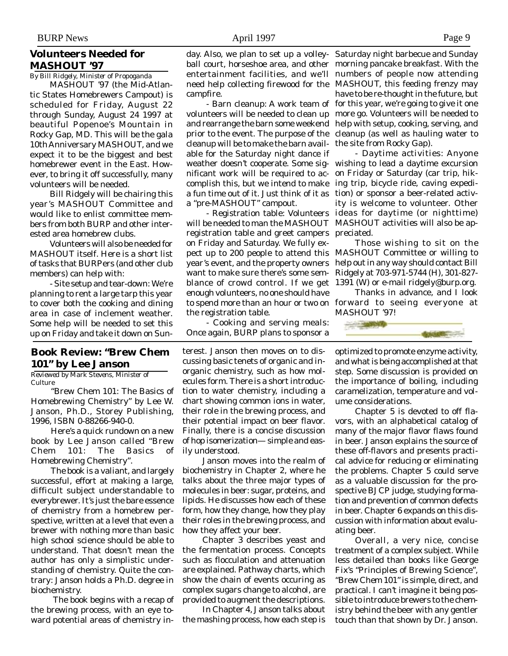## **Volunteers Needed for MASHOUT '97**

*By Bill Ridgely, Minister of Propoganda*

MASHOUT '97 (the Mid-Atlantic States Homebrewers Campout) is scheduled for Friday, August 22 through Sunday, August 24 1997 at beautiful Popenoe's Mountain in Rocky Gap, MD. This will be the gala 10th Anniversary MASHOUT, and we expect it to be the biggest and best homebrewer event in the East. However, to bring it off successfully, many volunteers will be needed.

Bill Ridgely will be chairing this year's MASHOUT Committee and would like to enlist committee members from both BURP and other interested area homebrew clubs.

Volunteers will also be needed for MASHOUT itself. Here is a short list of tasks that BURPers (and other club members) can help with:

- Site setup and tear-down: We're planning to rent a large tarp this year to cover both the cooking and dining area in case of inclement weather. Some help will be needed to set this up on Friday and take it down on Sun-

## **Book Review: "Brew Chem 101" by Lee Janson**

*Reviewed by Mark Stevens, Minister of Culture*

"Brew Chem 101: The Basics of Homebrewing Chemistry" by Lee W. Janson, Ph.D., Storey Publishing, 1996, ISBN 0-88266-940-0.

Here's a quick rundown on a new book by Lee Janson called "Brew Chem 101: The Basics of Homebrewing Chemistry".

The book is a valiant, and largely successful, effort at making a large, difficult subject understandable to everybrewer. It's just the bare essence of chemistry from a homebrew perspective, written at a level that even a brewer with nothing more than basic high school science should be able to understand. That doesn't mean the author has only a simplistic understanding of chemistry. Quite the contrary: Janson holds a Ph.D. degree in biochemistry.

 The book begins with a recap of the brewing process, with an eye toward potential areas of chemistry incampfire.

volunteers will be needed to clean up more go. Volunteers will be needed to and rearrange the barn some weekend help with setup, cooking, serving, and prior to the event. The purpose of the cleanup (as well as hauling water to cleanup will be to make the barn avail-the site from Rocky Gap). able for the Saturday night dance if nificant work will be required to accomplish this, but we intend to make a "pre-MASHOUT" campout.

will be needed to man the MASHOUT MASHOUT activities will also be apregistration table and greet campers preciated. on Friday and Saturday. We fully expect up to 200 people to attend this MASHOUT Committee or willing to year's event, and the property owners help out in any way should contact Bill want to make sure there's some semblance of crowd control. If we get 1391 (W) or e-mail ridgely@burp.org. enough volunteers, no one should have to spend more than an hour or two on forward to seeing everyone at the registration table.

- Cooking and serving meals: Once again, BURP plans to sponsor a

terest. Janson then moves on to discussing basic tenets of organic and inorganic chemistry, such as how molecules form. There is a short introduction to water chemistry, including a chart showing common ions in water, their role in the brewing process, and their potential impact on beer flavor. Finally, there is a concise discussion of hop isomerization— simple and easily understood.

Janson moves into the realm of biochemistry in Chapter 2, where he talks about the three major types of molecules in beer: sugar, proteins, and lipids. He discusses how each of these form, how they change, how they play their roles in the brewing process, and how they affect your beer.

Chapter 3 describes yeast and the fermentation process. Concepts such as flocculation and attenuation are explained. Pathway charts, which show the chain of events occuring as complex sugars change to alcohol, are provided to augment the descriptions.

In Chapter 4, Janson talks about the mashing process, how each step is

day. Also, we plan to set up a volley-Saturday night barbecue and Sunday ball court, horseshoe area, and other morning pancake breakfast. With the entertainment facilities, and we'll numbers of people now attending need help collecting firewood for the MASHOUT, this feeding frenzy may - Barn cleanup: A work team of for this year, we're going to give it one have to be re-thought in the future, but

weather doesn't cooperate. Some sig-wishing to lead a daytime excursion a fun time out of it. Just think of it as tion) or sponsor a beer-related activ-- Registration table: Volunteers ideas for daytime (or nighttime) - Daytime activities: Anyone on Friday or Saturday (car trip, hiking trip, bicycle ride, caving expediity is welcome to volunteer. Other

> Those wishing to sit on the Ridgely at 703-971-5744 (H), 301-827-

> Thanks in advance, and I look MASHOUT '97!



optimized to promote enzyme activity, and what is being accomplished at that step. Some discussion is provided on the importance of boiling, including caramelization, temperature and volume considerations.

Chapter 5 is devoted to off flavors, with an alphabetical catalog of many of the major flavor flaws found in beer. Janson explains the source of these off-flavors and presents practical advice for reducing or eliminating the problems. Chapter 5 could serve as a valuable discussion for the prospective BJCP judge, studying formation and prevention of common defects in beer. Chapter 6 expands on this discussion with information about evaluating beer.

Overall, a very nice, concise treatment of a complex subject. While less detailed than books like George Fix's "Principles of Brewing Science", "Brew Chem 101" is simple, direct, and practical. I can't imagine it being possible to introduce brewers to the chemistry behind the beer with any gentler touch than that shown by Dr. Janson.